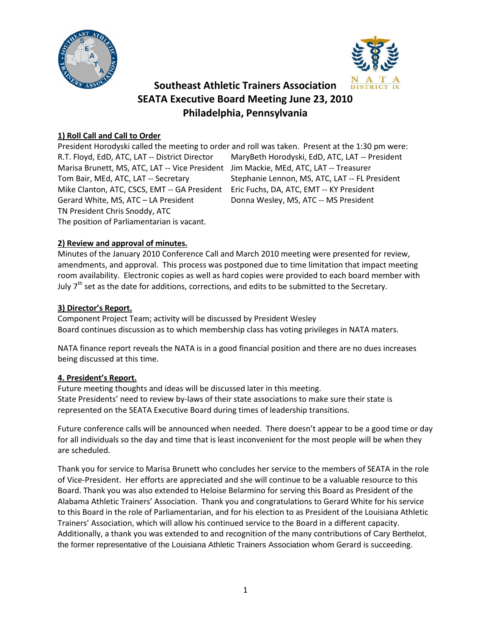



# **Southeast Athletic Trainers Association SEATA Executive Board Meeting June 23, 2010 Philadelphia, Pennsylvania**

## **1) Roll Call and Call to Order**

President Horodyski called the meeting to order and roll was taken. Present at the 1:30 pm were: R.T. Floyd, EdD, ATC, LAT -- District Director MaryBeth Horodyski, EdD, ATC, LAT -- President Marisa Brunett, MS, ATC, LAT -- Vice President Jim Mackie, MEd, ATC, LAT -- Treasurer Tom Bair, MEd, ATC, LAT -- Secretary Stephanie Lennon, MS, ATC, LAT -- FL President Mike Clanton, ATC, CSCS, EMT -- GA President Eric Fuchs, DA, ATC, EMT -- KY President Gerard White, MS, ATC – LA President Donna Wesley, MS, ATC -- MS President TN President Chris Snoddy, ATC The position of Parliamentarian is vacant.

## **2) Review and approval of minutes.**

Minutes of the January 2010 Conference Call and March 2010 meeting were presented for review, amendments, and approval. This process was postponed due to time limitation that impact meeting room availability. Electronic copies as well as hard copies were provided to each board member with July  $7<sup>th</sup>$  set as the date for additions, corrections, and edits to be submitted to the Secretary.

#### **3) Director's Report.**

Component Project Team; activity will be discussed by President Wesley Board continues discussion as to which membership class has voting privileges in NATA maters.

NATA finance report reveals the NATA is in a good financial position and there are no dues increases being discussed at this time.

## **4. President's Report.**

Future meeting thoughts and ideas will be discussed later in this meeting. State Presidents' need to review by-laws of their state associations to make sure their state is represented on the SEATA Executive Board during times of leadership transitions.

Future conference calls will be announced when needed. There doesn't appear to be a good time or day for all individuals so the day and time that is least inconvenient for the most people will be when they are scheduled.

Thank you for service to Marisa Brunett who concludes her service to the members of SEATA in the role of Vice-President. Her efforts are appreciated and she will continue to be a valuable resource to this Board. Thank you was also extended to Heloise Belarmino for serving this Board as President of the Alabama Athletic Trainers' Association. Thank you and congratulations to Gerard White for his service to this Board in the role of Parliamentarian, and for his election to as President of the Louisiana Athletic Trainers' Association, which will allow his continued service to the Board in a different capacity. Additionally, a thank you was extended to and recognition of the many contributions of Cary Berthelot, the former representative of the Louisiana Athletic Trainers Association whom Gerard is succeeding.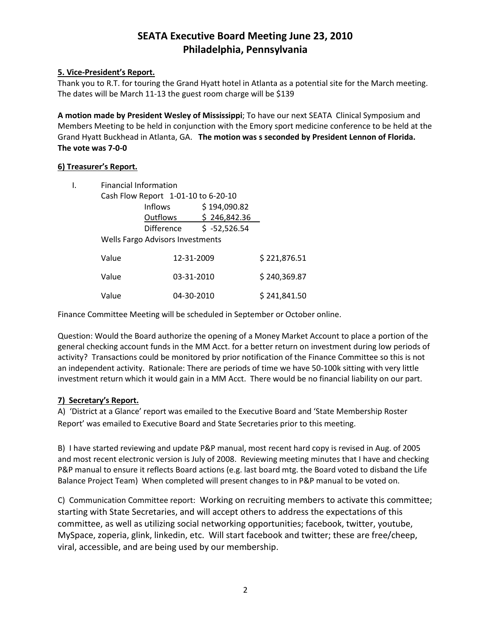## **SEATA Executive Board Meeting June 23, 2010 Philadelphia, Pennsylvania**

## **5. Vice-President's Report.**

Thank you to R.T. for touring the Grand Hyatt hotel in Atlanta as a potential site for the March meeting. The dates will be March 11-13 the guest room charge will be \$139

**A motion made by President Wesley of Mississippi**; To have our next SEATA Clinical Symposium and Members Meeting to be held in conjunction with the Emory sport medicine conference to be held at the Grand Hyatt Buckhead in Atlanta, GA. **The motion was s seconded by President Lennon of Florida. The vote was 7-0-0**

#### **6) Treasurer's Report.**

| <b>Financial Information</b>        |                   |                |              |
|-------------------------------------|-------------------|----------------|--------------|
| Cash Flow Report 1-01-10 to 6-20-10 |                   |                |              |
|                                     | <b>Inflows</b>    | \$194,090.82   |              |
|                                     | Outflows          | \$246,842.36   |              |
|                                     | <b>Difference</b> | $$ -52,526.54$ |              |
| Wells Fargo Advisors Investments    |                   |                |              |
| Value                               |                   | 12-31-2009     |              |
| Value                               |                   | 03-31-2010     | \$240,369.87 |
| Value                               |                   | 04-30-2010     | \$241,841.50 |

Finance Committee Meeting will be scheduled in September or October online.

Question: Would the Board authorize the opening of a Money Market Account to place a portion of the general checking account funds in the MM Acct. for a better return on investment during low periods of activity? Transactions could be monitored by prior notification of the Finance Committee so this is not an independent activity. Rationale: There are periods of time we have 50-100k sitting with very little investment return which it would gain in a MM Acct. There would be no financial liability on our part.

## **7) Secretary's Report.**

A) 'District at a Glance' report was emailed to the Executive Board and 'State Membership Roster Report' was emailed to Executive Board and State Secretaries prior to this meeting.

B) I have started reviewing and update P&P manual, most recent hard copy is revised in Aug. of 2005 and most recent electronic version is July of 2008. Reviewing meeting minutes that I have and checking P&P manual to ensure it reflects Board actions (e.g. last board mtg. the Board voted to disband the Life Balance Project Team) When completed will present changes to in P&P manual to be voted on.

C) Communication Committee report: Working on recruiting members to activate this committee; starting with State Secretaries, and will accept others to address the expectations of this committee, as well as utilizing social networking opportunities; facebook, twitter, youtube, MySpace, zoperia, glink, linkedin, etc. Will start facebook and twitter; these are free/cheep, viral, accessible, and are being used by our membership.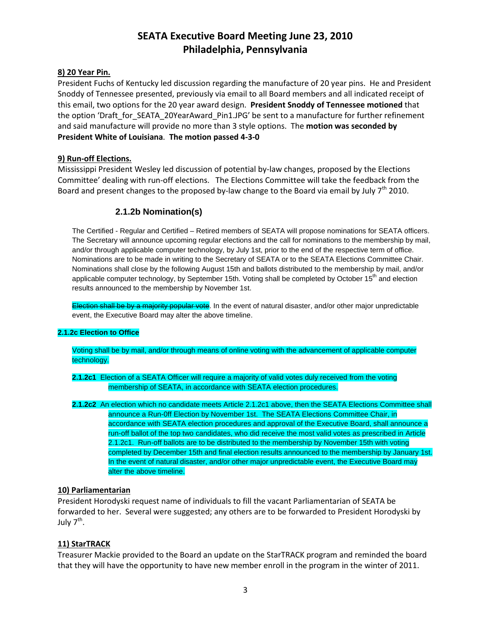## **SEATA Executive Board Meeting June 23, 2010 Philadelphia, Pennsylvania**

#### **8) 20 Year Pin.**

President Fuchs of Kentucky led discussion regarding the manufacture of 20 year pins. He and President Snoddy of Tennessee presented, previously via email to all Board members and all indicated receipt of this email, two options for the 20 year award design. **President Snoddy of Tennessee motioned** that the option 'Draft for SEATA\_20YearAward\_Pin1.JPG' be sent to a manufacture for further refinement and said manufacture will provide no more than 3 style options. The **motion was seconded by President White of Louisiana**. **The motion passed 4-3-0**

#### **9) Run-off Elections.**

Mississippi President Wesley led discussion of potential by-law changes, proposed by the Elections Committee' dealing with run-off elections. The Elections Committee will take the feedback from the Board and present changes to the proposed by-law change to the Board via email by July  $7<sup>th</sup>$  2010.

## **2.1.2b Nomination(s)**

The Certified - Regular and Certified – Retired members of SEATA will propose nominations for SEATA officers. The Secretary will announce upcoming regular elections and the call for nominations to the membership by mail, and/or through applicable computer technology, by July 1st, prior to the end of the respective term of office. Nominations are to be made in writing to the Secretary of SEATA or to the SEATA Elections Committee Chair. Nominations shall close by the following August 15th and ballots distributed to the membership by mail, and/or applicable computer technology, by September 15th. Voting shall be completed by October 15<sup>th</sup> and election results announced to the membership by November 1st.

Election shall be by a majority popular vote. In the event of natural disaster, and/or other major unpredictable event, the Executive Board may alter the above timeline.

#### **2.1.2c Election to Office**

Voting shall be by mail, and/or through means of online voting with the advancement of applicable computer technology.

**2.1.2c1** Election of a SEATA Officer will require a majority of valid votes duly received from the voting membership of SEATA, in accordance with SEATA election procedures.

**2.1.2c2** An election which no candidate meets Article 2.1.2c1 above, then the SEATA Elections Committee shall announce a Run-0ff Election by November 1st. The SEATA Elections Committee Chair, in accordance with SEATA election procedures and approval of the Executive Board, shall announce a run-off ballot of the top two candidates, who did receive the most valid votes as prescribed in Article 2.1.2c1. Run-off ballots are to be distributed to the membership by November 15th with voting completed by December 15th and final election results announced to the membership by January 1st. In the event of natural disaster, and/or other major unpredictable event, the Executive Board may alter the above timeline.

#### **10) Parliamentarian**

President Horodyski request name of individuals to fill the vacant Parliamentarian of SEATA be forwarded to her. Several were suggested; any others are to be forwarded to President Horodyski by July  $7<sup>th</sup>$ .

## **11) StarTRACK**

Treasurer Mackie provided to the Board an update on the StarTRACK program and reminded the board that they will have the opportunity to have new member enroll in the program in the winter of 2011.